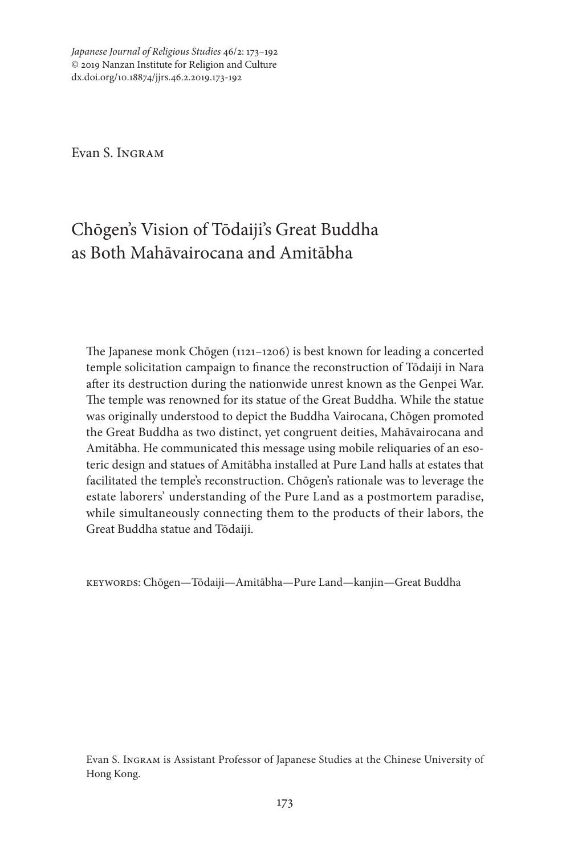*Japanese Journal of Religious Studies* 46/2: 173–192 © 2019 Nanzan Institute for Religion and Culture dx.doi.org/10.18874/jjrs.46.2.2019.173-192

Evan S. Ingram

# Chōgen's Vision of Tōdaiji's Great Buddha as Both Mahāvairocana and Amitābha

The Japanese monk Chōgen (1121–1206) is best known for leading a concerted temple solicitation campaign to finance the reconstruction of Tōdaiji in Nara after its destruction during the nationwide unrest known as the Genpei War. The temple was renowned for its statue of the Great Buddha. While the statue was originally understood to depict the Buddha Vairocana, Chōgen promoted the Great Buddha as two distinct, yet congruent deities, Mahāvairocana and Amitābha. He communicated this message using mobile reliquaries of an esoteric design and statues of Amitābha installed at Pure Land halls at estates that facilitated the temple's reconstruction. Chōgen's rationale was to leverage the estate laborers' understanding of the Pure Land as a postmortem paradise, while simultaneously connecting them to the products of their labors, the Great Buddha statue and Tōdaiji.

keywords: Chōgen—Tōdaiji—Amitābha—Pure Land—kanjin—Great Buddha

Evan S. Ingram is Assistant Professor of Japanese Studies at the Chinese University of Hong Kong.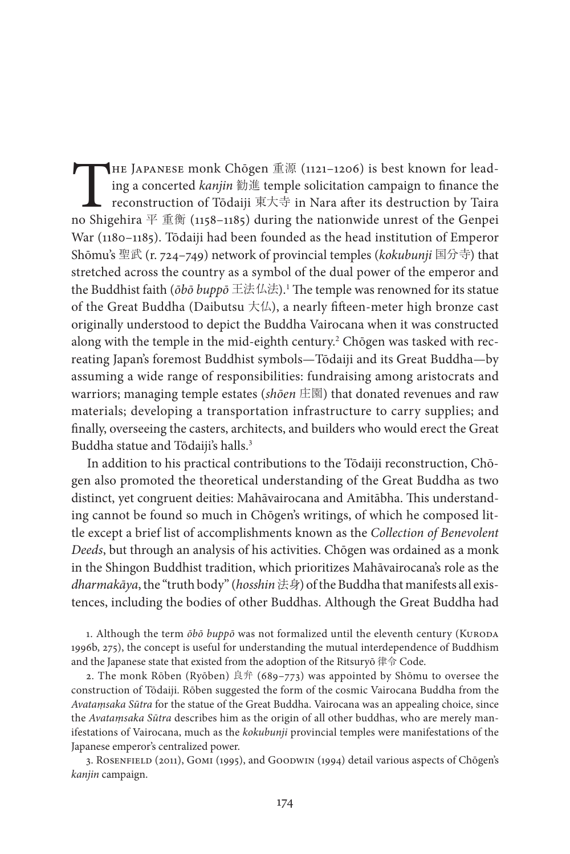THE JAPANESE monk Chōgen  $\tilde{\mathbb{H}}$  (1121–1206) is best known for lead-<br>ing a concerted *kanjin* 勧進 temple solicitation campaign to finance the<br>reconstruction of Tōdaiji 東大寺 in Nara after its destruction by Taira<br>no Shig ing a concerted *kanjin* 勧進 temple solicitation campaign to finance the reconstruction of Tōdaiji 東大寺 in Nara after its destruction by Taira no Shigehira  $\overline{\Psi}$   $\overline{\mathbb{H}}$  (1158–1185) during the nationwide unrest of the Genpei War (1180–1185). Tōdaiji had been founded as the head institution of Emperor Shōmu's 聖武 (r. 724–749) network of provincial temples (*kokubunji* 国分寺) that stretched across the country as a symbol of the dual power of the emperor and the Buddhist faith (*ōbō buppō* 王法仏法).1 The temple was renowned for its statue of the Great Buddha (Daibutsu  $\pm\mu$ ), a nearly fifteen-meter high bronze cast originally understood to depict the Buddha Vairocana when it was constructed along with the temple in the mid-eighth century. $^2$  Chōgen was tasked with recreating Japan's foremost Buddhist symbols—Tōdaiji and its Great Buddha—by assuming a wide range of responsibilities: fundraising among aristocrats and warriors; managing temple estates (*shōen* 庄園) that donated revenues and raw materials; developing a transportation infrastructure to carry supplies; and finally, overseeing the casters, architects, and builders who would erect the Great Buddha statue and Tōdaiji's halls.<sup>3</sup>

In addition to his practical contributions to the Tōdaiji reconstruction, Chōgen also promoted the theoretical understanding of the Great Buddha as two distinct, yet congruent deities: Mahāvairocana and Amitābha. This understanding cannot be found so much in Chōgen's writings, of which he composed little except a brief list of accomplishments known as the *Collection of Benevolent Deeds*, but through an analysis of his activities. Chōgen was ordained as a monk in the Shingon Buddhist tradition, which prioritizes Mahāvairocana's role as the *dharmakāya*, the "truth body" (*hosshin* 法身) of the Buddha that manifests all existences, including the bodies of other Buddhas. Although the Great Buddha had

1. Although the term  $\bar{\partial}b\bar{\partial}$  bupp $\bar{\partial}$  was not formalized until the eleventh century (KURODA 1996b, 275), the concept is useful for understanding the mutual interdependence of Buddhism and the Japanese state that existed from the adoption of the Ritsuryō 律令 Code.

2. The monk Rōben (Ryōben) 良弁 (689–773) was appointed by Shōmu to oversee the construction of Tōdaiji. Rōben suggested the form of the cosmic Vairocana Buddha from the *Avataṃsaka Sūtra* for the statue of the Great Buddha. Vairocana was an appealing choice, since the *Avataṃsaka Sūtra* describes him as the origin of all other buddhas, who are merely manifestations of Vairocana, much as the *kokubunji* provincial temples were manifestations of the Japanese emperor's centralized power.

3. Rosenfield (2011), Gomi (1995), and Goodwin (1994) detail various aspects of Chōgen's *kanjin* campaign.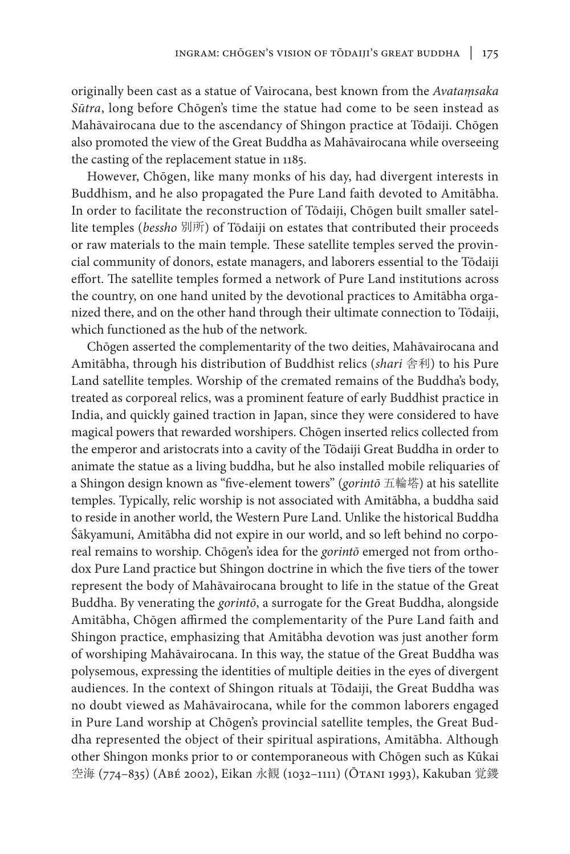originally been cast as a statue of Vairocana, best known from the *Avataṃsaka Sūtra*, long before Chōgen's time the statue had come to be seen instead as Mahāvairocana due to the ascendancy of Shingon practice at Tōdaiji. Chōgen also promoted the view of the Great Buddha as Mahāvairocana while overseeing the casting of the replacement statue in 1185.

However, Chōgen, like many monks of his day, had divergent interests in Buddhism, and he also propagated the Pure Land faith devoted to Amitābha. In order to facilitate the reconstruction of Tōdaiji, Chōgen built smaller satellite temples (*bessho* 別所) of Tōdaiji on estates that contributed their proceeds or raw materials to the main temple. These satellite temples served the provincial community of donors, estate managers, and laborers essential to the Tōdaiji effort. The satellite temples formed a network of Pure Land institutions across the country, on one hand united by the devotional practices to Amitābha organized there, and on the other hand through their ultimate connection to Tōdaiji, which functioned as the hub of the network.

Chōgen asserted the complementarity of the two deities, Mahāvairocana and Amitābha, through his distribution of Buddhist relics (*shari* 舎利) to his Pure Land satellite temples. Worship of the cremated remains of the Buddha's body, treated as corporeal relics, was a prominent feature of early Buddhist practice in India, and quickly gained traction in Japan, since they were considered to have magical powers that rewarded worshipers. Chōgen inserted relics collected from the emperor and aristocrats into a cavity of the Tōdaiji Great Buddha in order to animate the statue as a living buddha, but he also installed mobile reliquaries of a Shingon design known as "five-element towers" (*gorintō* 五輪塔) at his satellite temples. Typically, relic worship is not associated with Amitābha, a buddha said to reside in another world, the Western Pure Land. Unlike the historical Buddha Śākyamuni, Amitābha did not expire in our world, and so left behind no corporeal remains to worship. Chōgen's idea for the *gorintō* emerged not from orthodox Pure Land practice but Shingon doctrine in which the five tiers of the tower represent the body of Mahāvairocana brought to life in the statue of the Great Buddha. By venerating the *gorintō*, a surrogate for the Great Buddha, alongside Amitābha, Chōgen affirmed the complementarity of the Pure Land faith and Shingon practice, emphasizing that Amitābha devotion was just another form of worshiping Mahāvairocana. In this way, the statue of the Great Buddha was polysemous, expressing the identities of multiple deities in the eyes of divergent audiences. In the context of Shingon rituals at Tōdaiji, the Great Buddha was no doubt viewed as Mahāvairocana, while for the common laborers engaged in Pure Land worship at Chōgen's provincial satellite temples, the Great Buddha represented the object of their spiritual aspirations, Amitābha. Although other Shingon monks prior to or contemporaneous with Chōgen such as Kūkai 空海 (774–835) (ABÉ 2002), Eikan 永観 (1032–1111) (ŌTANI 1993), Kakuban 覚鑁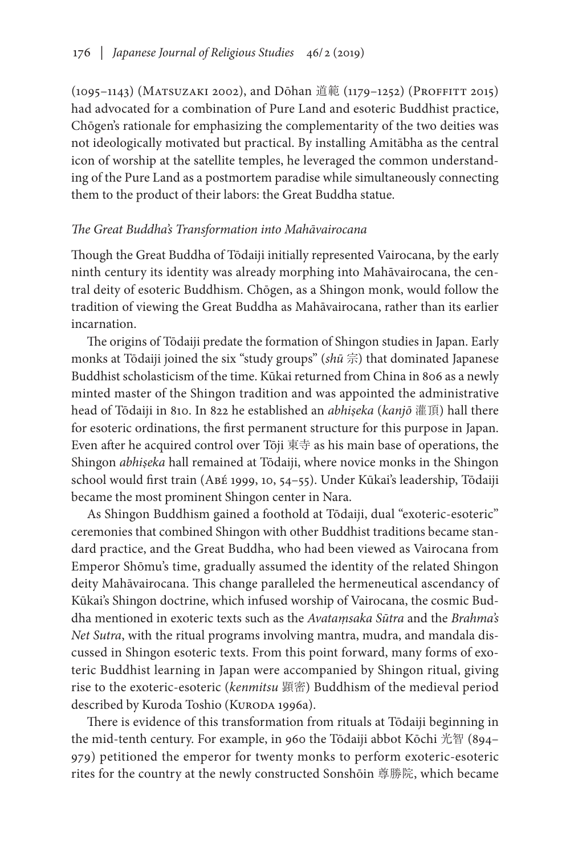(1095–1143) (Matsuzaki 2002), and Dōhan 道範 (1179–1252) (Proffitt 2015) had advocated for a combination of Pure Land and esoteric Buddhist practice, Chōgen's rationale for emphasizing the complementarity of the two deities was not ideologically motivated but practical. By installing Amitābha as the central icon of worship at the satellite temples, he leveraged the common understanding of the Pure Land as a postmortem paradise while simultaneously connecting them to the product of their labors: the Great Buddha statue.

# *The Great Buddha's Transformation into Mahāvairocana*

Though the Great Buddha of Tōdaiji initially represented Vairocana, by the early ninth century its identity was already morphing into Mahāvairocana, the central deity of esoteric Buddhism. Chōgen, as a Shingon monk, would follow the tradition of viewing the Great Buddha as Mahāvairocana, rather than its earlier incarnation.

The origins of Tōdaiji predate the formation of Shingon studies in Japan. Early monks at Tōdaiji joined the six "study groups" (*shū* 宗) that dominated Japanese Buddhist scholasticism of the time. Kūkai returned from China in 806 as a newly minted master of the Shingon tradition and was appointed the administrative head of Tōdaiji in 810. In 822 he established an *abhiṣeka* (*kanjō* 灌頂) hall there for esoteric ordinations, the first permanent structure for this purpose in Japan. Even after he acquired control over Tōji 東寺 as his main base of operations, the Shingon *abhiṣeka* hall remained at Tōdaiji, where novice monks in the Shingon school would first train (Abé 1999, 10, 54–55). Under Kūkai's leadership, Tōdaiji became the most prominent Shingon center in Nara.

As Shingon Buddhism gained a foothold at Tōdaiji, dual "exoteric-esoteric" ceremonies that combined Shingon with other Buddhist traditions became standard practice, and the Great Buddha, who had been viewed as Vairocana from Emperor Shōmu's time, gradually assumed the identity of the related Shingon deity Mahāvairocana. This change paralleled the hermeneutical ascendancy of Kūkai's Shingon doctrine, which infused worship of Vairocana, the cosmic Buddha mentioned in exoteric texts such as the *Avataṃsaka Sūtra* and the *Brahma's Net Sutra*, with the ritual programs involving mantra, mudra, and mandala discussed in Shingon esoteric texts. From this point forward, many forms of exoteric Buddhist learning in Japan were accompanied by Shingon ritual, giving rise to the exoteric-esoteric (*kenmitsu* 顕密) Buddhism of the medieval period described by Kuroda Toshio (KURODA 1996a).

There is evidence of this transformation from rituals at Tōdaiji beginning in the mid-tenth century. For example, in 960 the Tōdaiji abbot Kōchi 光智 (894– 979) petitioned the emperor for twenty monks to perform exoteric-esoteric rites for the country at the newly constructed Sonshōin 尊勝院, which became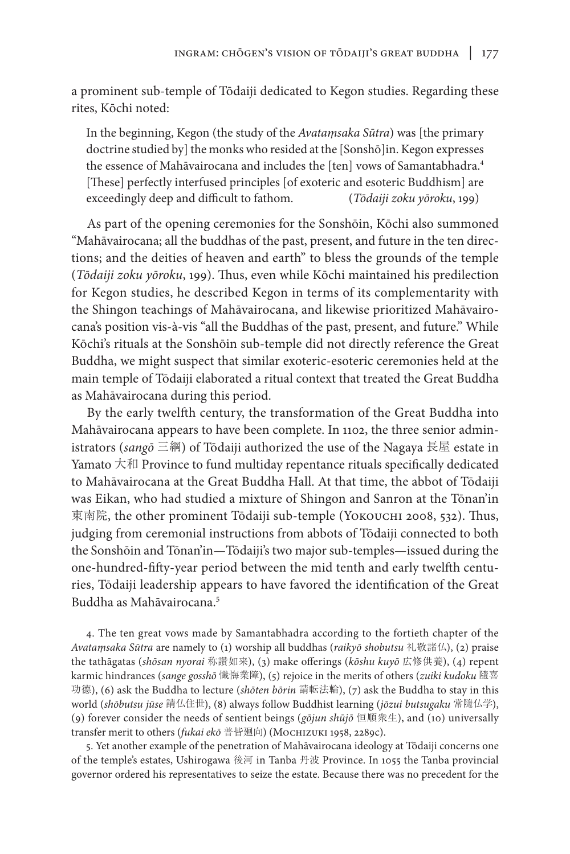a prominent sub-temple of Tōdaiji dedicated to Kegon studies. Regarding these rites, Kōchi noted:

In the beginning, Kegon (the study of the *Avataṃsaka Sūtra*) was [the primary doctrine studied by] the monks who resided at the [Sonshō]in. Kegon expresses the essence of Mahāvairocana and includes the [ten] vows of Samantabhadra.<sup>4</sup> [These] perfectly interfused principles [of exoteric and esoteric Buddhism] are exceedingly deep and difficult to fathom. (*Tōdaiji zoku yōroku*, 199)

As part of the opening ceremonies for the Sonshōin, Kōchi also summoned "Mahāvairocana; all the buddhas of the past, present, and future in the ten directions; and the deities of heaven and earth" to bless the grounds of the temple (*Tōdaiji zoku yōroku*, 199). Thus, even while Kōchi maintained his predilection for Kegon studies, he described Kegon in terms of its complementarity with the Shingon teachings of Mahāvairocana, and likewise prioritized Mahāvairocana's position vis-à-vis "all the Buddhas of the past, present, and future." While Kōchi's rituals at the Sonshōin sub-temple did not directly reference the Great Buddha, we might suspect that similar exoteric-esoteric ceremonies held at the main temple of Tōdaiji elaborated a ritual context that treated the Great Buddha as Mahāvairocana during this period.

By the early twelfth century, the transformation of the Great Buddha into Mahāvairocana appears to have been complete. In 1102, the three senior administrators (*sangō* 三綱) of Tōdaiji authorized the use of the Nagaya 長屋 estate in Yamato 大和 Province to fund multiday repentance rituals specifically dedicated to Mahāvairocana at the Great Buddha Hall. At that time, the abbot of Tōdaiji was Eikan, who had studied a mixture of Shingon and Sanron at the Tōnan'in 東南院, the other prominent Tōdaiji sub-temple (Yокоuсни 2008, 532). Thus, judging from ceremonial instructions from abbots of Tōdaiji connected to both the Sonshōin and Tōnan'in—Tōdaiji's two major sub-temples—issued during the one-hundred-fifty-year period between the mid tenth and early twelfth centuries, Tōdaiji leadership appears to have favored the identification of the Great Buddha as Mahāvairocana.5

4. The ten great vows made by Samantabhadra according to the fortieth chapter of the *Avataṃsaka Sūtra* are namely to (1) worship all buddhas (*raikyō shobutsu* 礼敬諸仏), (2) praise the tathāgatas (*shōsan nyorai* 称讚如来), (3) make offerings (*kōshu kuyō* 広修供養), (4) repent karmic hindrances (*sange gosshō* 懺悔業障), (5) rejoice in the merits of others (*zuiki kudoku* 隨喜 功德), (6) ask the Buddha to lecture (*shōten bōrin* 請転法輪), (7) ask the Buddha to stay in this world (*shōbutsu jūse* 請仏住世), (8) always follow Buddhist learning (*jōzui butsugaku* 常隨仏学), (9) forever consider the needs of sentient beings (*gōjun shūjō* 恒順衆生), and (10) universally transfer merit to others (*fukai ekō* 普皆廻向) (Mochizuki 1958, 2289c).

5. Yet another example of the penetration of Mahāvairocana ideology at Tōdaiji concerns one of the temple's estates, Ushirogawa 後河 in Tanba 丹波 Province. In 1055 the Tanba provincial governor ordered his representatives to seize the estate. Because there was no precedent for the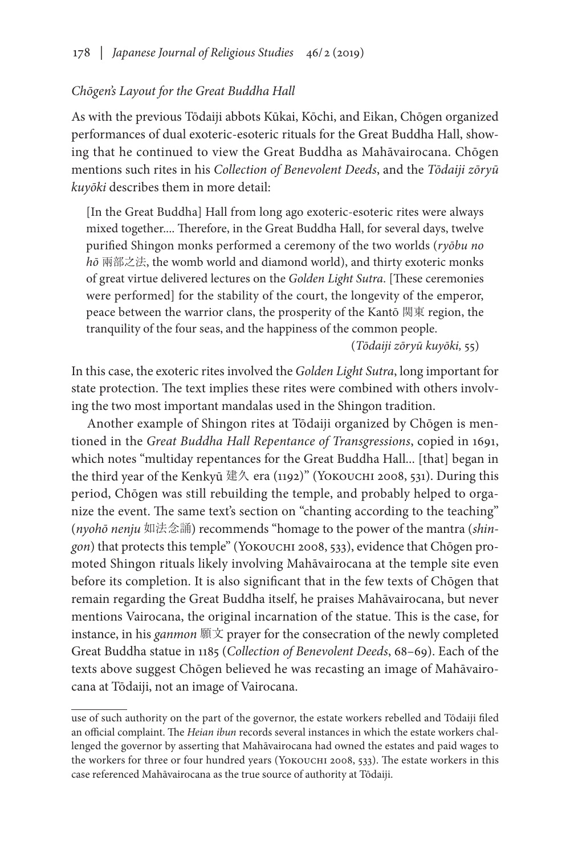# *Chōgen's Layout for the Great Buddha Hall*

As with the previous Tōdaiji abbots Kūkai, Kōchi, and Eikan, Chōgen organized performances of dual exoteric-esoteric rituals for the Great Buddha Hall, showing that he continued to view the Great Buddha as Mahāvairocana. Chōgen mentions such rites in his *Collection of Benevolent Deeds*, and the *Tōdaiji zōryū kuyōki* describes them in more detail:

[In the Great Buddha] Hall from long ago exoteric-esoteric rites were always mixed together.... Therefore, in the Great Buddha Hall, for several days, twelve purified Shingon monks performed a ceremony of the two worlds (*ryōbu no hō* 兩部之法, the womb world and diamond world), and thirty exoteric monks of great virtue delivered lectures on the *Golden Light Sutra*. [These ceremonies were performed] for the stability of the court, the longevity of the emperor, peace between the warrior clans, the prosperity of the Kantō 関東 region, the tranquility of the four seas, and the happiness of the common people.

(*Tōdaiji zōryū kuyōki,* 55)

In this case, the exoteric rites involved the *Golden Light Sutra*, long important for state protection. The text implies these rites were combined with others involving the two most important mandalas used in the Shingon tradition.

Another example of Shingon rites at Tōdaiji organized by Chōgen is mentioned in the *Great Buddha Hall Repentance of Transgressions*, copied in 1691, which notes "multiday repentances for the Great Buddha Hall... [that] began in the third year of the Kenkyū 建久 era (1192)" (Yokouchi 2008, 531). During this period, Chōgen was still rebuilding the temple, and probably helped to organize the event. The same text's section on "chanting according to the teaching" (*nyohō nenju* 如法念誦) recommends "homage to the power of the mantra (*shingon*) that protects this temple" (Yokouchi 2008, 533), evidence that Chōgen promoted Shingon rituals likely involving Mahāvairocana at the temple site even before its completion. It is also significant that in the few texts of Chōgen that remain regarding the Great Buddha itself, he praises Mahāvairocana, but never mentions Vairocana, the original incarnation of the statue. This is the case, for instance, in his *ganmon* 願文 prayer for the consecration of the newly completed Great Buddha statue in 1185 (*Collection of Benevolent Deeds*, 68–69). Each of the texts above suggest Chōgen believed he was recasting an image of Mahāvairocana at Tōdaiji, not an image of Vairocana.

use of such authority on the part of the governor, the estate workers rebelled and Tōdaiji filed an official complaint. The *Heian ibun* records several instances in which the estate workers challenged the governor by asserting that Mahāvairocana had owned the estates and paid wages to the workers for three or four hundred years (YOKOUCHI 2008, 533). The estate workers in this case referenced Mahāvairocana as the true source of authority at Tōdaiji.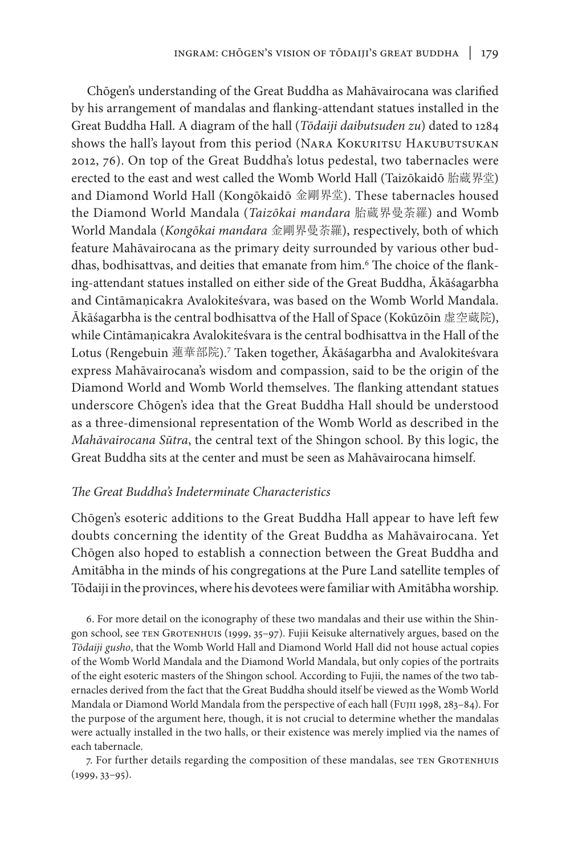Chōgen's understanding of the Great Buddha as Mahāvairocana was clarified by his arrangement of mandalas and flanking-attendant statues installed in the Great Buddha Hall. A diagram of the hall (*Tōdaiji daibutsuden zu*) dated to 1284 shows the hall's layout from this period (NARA KOKURITSU HAKUBUTSUKAN 2012, 76). On top of the Great Buddha's lotus pedestal, two tabernacles were erected to the east and west called the Womb World Hall (Taizōkaidō 胎蔵界堂) and Diamond World Hall (Kongōkaidō 金剛界堂). These tabernacles housed the Diamond World Mandala (*Taizōkai mandara* 胎蔵界曼荼羅) and Womb World Mandala (*Kongōkai mandara* 金剛界曼荼羅), respectively, both of which feature Mahāvairocana as the primary deity surrounded by various other buddhas, bodhisattvas, and deities that emanate from him.6 The choice of the flanking-attendant statues installed on either side of the Great Buddha, Ākāśagarbha and Cintāmaṇicakra Avalokiteśvara, was based on the Womb World Mandala. Ākāśagarbha is the central bodhisattva of the Hall of Space (Kokūzōin 虚空蔵院), while Cintāmaṇicakra Avalokiteśvara is the central bodhisattva in the Hall of the Lotus (Rengebuin 蓮華部院).7 Taken together, Ākāśagarbha and Avalokiteśvara express Mahāvairocana's wisdom and compassion, said to be the origin of the Diamond World and Womb World themselves. The flanking attendant statues underscore Chōgen's idea that the Great Buddha Hall should be understood as a three-dimensional representation of the Womb World as described in the *Mahāvairocana Sūtra*, the central text of the Shingon school. By this logic, the Great Buddha sits at the center and must be seen as Mahāvairocana himself.

# *The Great Buddha's Indeterminate Characteristics*

Chōgen's esoteric additions to the Great Buddha Hall appear to have left few doubts concerning the identity of the Great Buddha as Mahāvairocana. Yet Chōgen also hoped to establish a connection between the Great Buddha and Amitābha in the minds of his congregations at the Pure Land satellite temples of Tōdaiji in the provinces, where his devotees were familiar with Amitābha worship.

6. For more detail on the iconography of these two mandalas and their use within the Shingon school, see ten Grotenhuis (1999, 35–97). Fujii Keisuke alternatively argues, based on the *Tōdaiji gusho*, that the Womb World Hall and Diamond World Hall did not house actual copies of the Womb World Mandala and the Diamond World Mandala, but only copies of the portraits of the eight esoteric masters of the Shingon school. According to Fujii, the names of the two tabernacles derived from the fact that the Great Buddha should itself be viewed as the Womb World Mandala or Diamond World Mandala from the perspective of each hall (Fujii 1998, 283–84). For the purpose of the argument here, though, it is not crucial to determine whether the mandalas were actually installed in the two halls, or their existence was merely implied via the names of each tabernacle.

7. For further details regarding the composition of these mandalas, see TEN GROTENHUIS (1999, 33–95).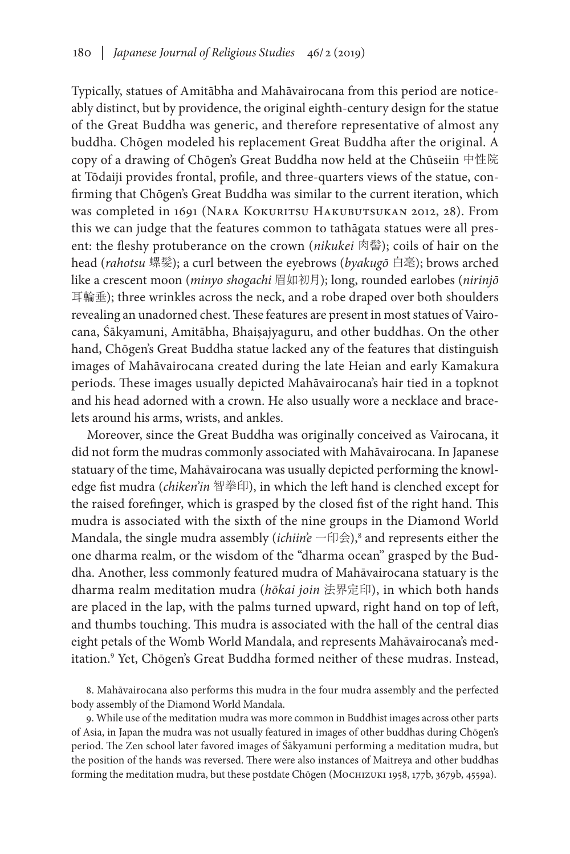Typically, statues of Amitābha and Mahāvairocana from this period are noticeably distinct, but by providence, the original eighth-century design for the statue of the Great Buddha was generic, and therefore representative of almost any buddha. Chōgen modeled his replacement Great Buddha after the original. A copy of a drawing of Chōgen's Great Buddha now held at the Chūseiin 中性院 at Tōdaiji provides frontal, profile, and three-quarters views of the statue, confirming that Chōgen's Great Buddha was similar to the current iteration, which was completed in 1691 (NARA KOKURITSU HAKUBUTSUKAN 2012, 28). From this we can judge that the features common to tathāgata statues were all present: the fleshy protuberance on the crown (*nikukei* 肉髻); coils of hair on the head (*rahotsu* 螺髪); a curl between the eyebrows (*byakugō* 白毫); brows arched like a crescent moon (*minyo shogachi* 眉如初月); long, rounded earlobes (*nirinjō* 耳輪垂); three wrinkles across the neck, and a robe draped over both shoulders revealing an unadorned chest. These features are present in most statues of Vairocana, Śākyamuni, Amitābha, Bhaiṣajyaguru, and other buddhas. On the other hand, Chōgen's Great Buddha statue lacked any of the features that distinguish images of Mahāvairocana created during the late Heian and early Kamakura periods. These images usually depicted Mahāvairocana's hair tied in a topknot and his head adorned with a crown. He also usually wore a necklace and bracelets around his arms, wrists, and ankles.

Moreover, since the Great Buddha was originally conceived as Vairocana, it did not form the mudras commonly associated with Mahāvairocana. In Japanese statuary of the time, Mahāvairocana was usually depicted performing the knowledge fist mudra (*chiken'in* 智拳印), in which the left hand is clenched except for the raised forefinger, which is grasped by the closed fist of the right hand. This mudra is associated with the sixth of the nine groups in the Diamond World Mandala, the single mudra assembly (*ichiin'e* 一印会),<sup>8</sup> and represents either the one dharma realm, or the wisdom of the "dharma ocean" grasped by the Buddha. Another, less commonly featured mudra of Mahāvairocana statuary is the dharma realm meditation mudra (*hōkai join* 法界定印), in which both hands are placed in the lap, with the palms turned upward, right hand on top of left, and thumbs touching. This mudra is associated with the hall of the central dias eight petals of the Womb World Mandala, and represents Mahāvairocana's meditation.<sup>9</sup> Yet, Chōgen's Great Buddha formed neither of these mudras. Instead,

9. While use of the meditation mudra was more common in Buddhist images across other parts of Asia, in Japan the mudra was not usually featured in images of other buddhas during Chōgen's period. The Zen school later favored images of Śākyamuni performing a meditation mudra, but the position of the hands was reversed. There were also instances of Maitreya and other buddhas forming the meditation mudra, but these postdate Chōgen (Mochizuki 1958, 177b, 3679b, 4559a).

<sup>8.</sup> Mahāvairocana also performs this mudra in the four mudra assembly and the perfected body assembly of the Diamond World Mandala.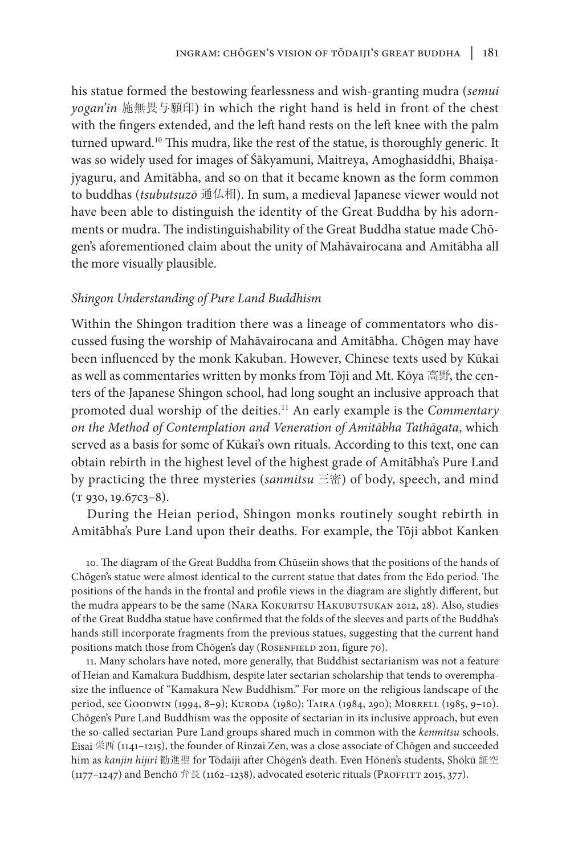his statue formed the bestowing fearlessness and wish-granting mudra (*semui yogan'in* 施無畏与願印) in which the right hand is held in front of the chest with the fingers extended, and the left hand rests on the left knee with the palm turned upward.<sup>10</sup> This mudra, like the rest of the statue, is thoroughly generic. It was so widely used for images of Śākyamuni, Maitreya, Amoghasiddhi, Bhaiṣajyaguru, and Amitābha, and so on that it became known as the form common to buddhas (*tsubutsuzō* 通仏相). In sum, a medieval Japanese viewer would not have been able to distinguish the identity of the Great Buddha by his adornments or mudra. The indistinguishability of the Great Buddha statue made Chōgen's aforementioned claim about the unity of Mahāvairocana and Amitābha all the more visually plausible.

## *Shingon Understanding of Pure Land Buddhism*

Within the Shingon tradition there was a lineage of commentators who discussed fusing the worship of Mahāvairocana and Amitābha. Chōgen may have been influenced by the monk Kakuban. However, Chinese texts used by Kūkai as well as commentaries written by monks from Tōji and Mt. Kōya 高野, the centers of the Japanese Shingon school, had long sought an inclusive approach that promoted dual worship of the deities.11 An early example is the *Commentary on the Method of Contemplation and Veneration of Amitābha Tathāgata*, which served as a basis for some of Kūkai's own rituals. According to this text, one can obtain rebirth in the highest level of the highest grade of Amitābha's Pure Land by practicing the three mysteries (*sanmitsu* 三密) of body, speech, and mind  $(T 930, 19.67c3-8)$ .

During the Heian period, Shingon monks routinely sought rebirth in Amitābha's Pure Land upon their deaths. For example, the Tōji abbot Kanken

10. The diagram of the Great Buddha from Chūseiin shows that the positions of the hands of Chōgen's statue were almost identical to the current statue that dates from the Edo period. The positions of the hands in the frontal and profile views in the diagram are slightly different, but the mudra appears to be the same (NARA KOKURITSU HAKUBUTSUKAN 2012, 28). Also, studies of the Great Buddha statue have confirmed that the folds of the sleeves and parts of the Buddha's hands still incorporate fragments from the previous statues, suggesting that the current hand positions match those from Chōgen's day (ROSENFIELD 2011, figure 70).

11. Many scholars have noted, more generally, that Buddhist sectarianism was not a feature of Heian and Kamakura Buddhism, despite later sectarian scholarship that tends to overemphasize the influence of "Kamakura New Buddhism." For more on the religious landscape of the period, see GOODWIN (1994, 8-9); KURODA (1980); TAIRA (1984, 290); MORRELL (1985, 9-10). Chōgen's Pure Land Buddhism was the opposite of sectarian in its inclusive approach, but even the so-called sectarian Pure Land groups shared much in common with the *kenmitsu* schools. Eisai 栄西 (1141–1215), the founder of Rinzai Zen, was a close associate of Chōgen and succeeded him as *kanjin hijiri* 勧進聖 for Tōdaiji after Chōgen's death. Even Hōnen's students, Shōkū 証空  $(1177-1247)$  and Benchō 弁長 (1162–1238), advocated esoteric rituals (PROFFITT 2015, 377).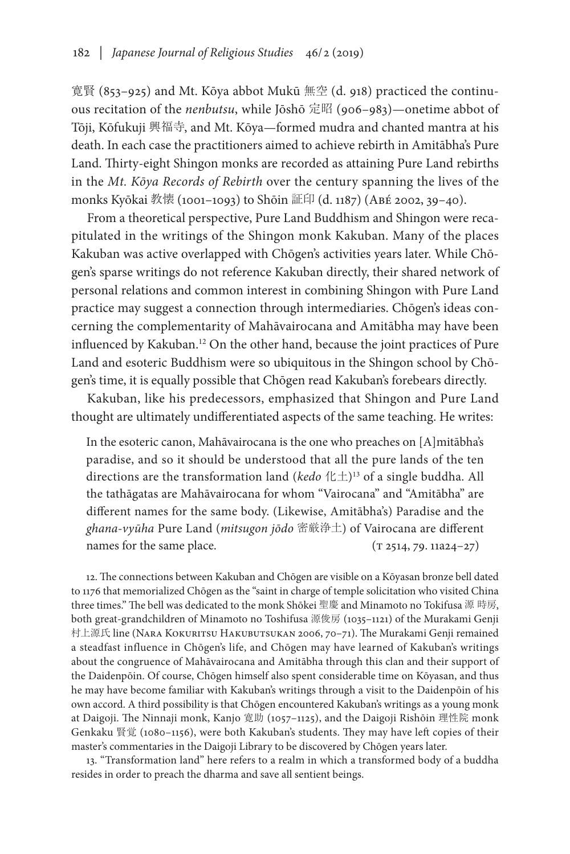寛賢 (853–925) and Mt. Kōya abbot Mukū 無空 (d. 918) practiced the continuous recitation of the *nenbutsu*, while Jōshō 定昭 (906–983)—onetime abbot of Tōji, Kōfukuji 興福寺, and Mt. Kōya—formed mudra and chanted mantra at his death. In each case the practitioners aimed to achieve rebirth in Amitābha's Pure Land. Thirty-eight Shingon monks are recorded as attaining Pure Land rebirths in the *Mt. Kōya Records of Rebirth* over the century spanning the lives of the monks Kyōkai 教懐 (1001–1093) to Shōin 証印 (d. 1187) (Abé 2002, 39–40).

From a theoretical perspective, Pure Land Buddhism and Shingon were recapitulated in the writings of the Shingon monk Kakuban. Many of the places Kakuban was active overlapped with Chōgen's activities years later. While Chōgen's sparse writings do not reference Kakuban directly, their shared network of personal relations and common interest in combining Shingon with Pure Land practice may suggest a connection through intermediaries. Chōgen's ideas concerning the complementarity of Mahāvairocana and Amitābha may have been influenced by Kakuban.12 On the other hand, because the joint practices of Pure Land and esoteric Buddhism were so ubiquitous in the Shingon school by Chōgen's time, it is equally possible that Chōgen read Kakuban's forebears directly.

Kakuban, like his predecessors, emphasized that Shingon and Pure Land thought are ultimately undifferentiated aspects of the same teaching. He writes:

In the esoteric canon, Mahāvairocana is the one who preaches on [A]mitābha's paradise, and so it should be understood that all the pure lands of the ten directions are the transformation land (*kedo* 化土)13 of a single buddha. All the tathāgatas are Mahāvairocana for whom "Vairocana" and "Amitābha" are different names for the same body. (Likewise, Amitābha's) Paradise and the *ghana-vyūha* Pure Land (*mitsugon jōdo* 密厳浄土) of Vairocana are different names for the same place.  $(T 2514, 79. 11a24-27)$ 

12. The connections between Kakuban and Chōgen are visible on a Kōyasan bronze bell dated to 1176 that memorialized Chōgen as the "saint in charge of temple solicitation who visited China three times." The bell was dedicated to the monk Shōkei 聖慶 and Minamoto no Tokifusa 源 時房, both great-grandchildren of Minamoto no Toshifusa 源俊房 (1035–1121) of the Murakami Genji 村上源氏 line (Nara Kokuritsu Hakubutsukan 2006, 70–71). The Murakami Genji remained a steadfast influence in Chōgen's life, and Chōgen may have learned of Kakuban's writings about the congruence of Mahāvairocana and Amitābha through this clan and their support of the Daidenpōin. Of course, Chōgen himself also spent considerable time on Kōyasan, and thus he may have become familiar with Kakuban's writings through a visit to the Daidenpōin of his own accord. A third possibility is that Chōgen encountered Kakuban's writings as a young monk at Daigoji. The Ninnaji monk, Kanjo 寛助 (1057–1125), and the Daigoji Rishōin 理性院 monk Genkaku 賢覚 (1080–1156), were both Kakuban's students. They may have left copies of their master's commentaries in the Daigoji Library to be discovered by Chōgen years later.

13. "Transformation land" here refers to a realm in which a transformed body of a buddha resides in order to preach the dharma and save all sentient beings.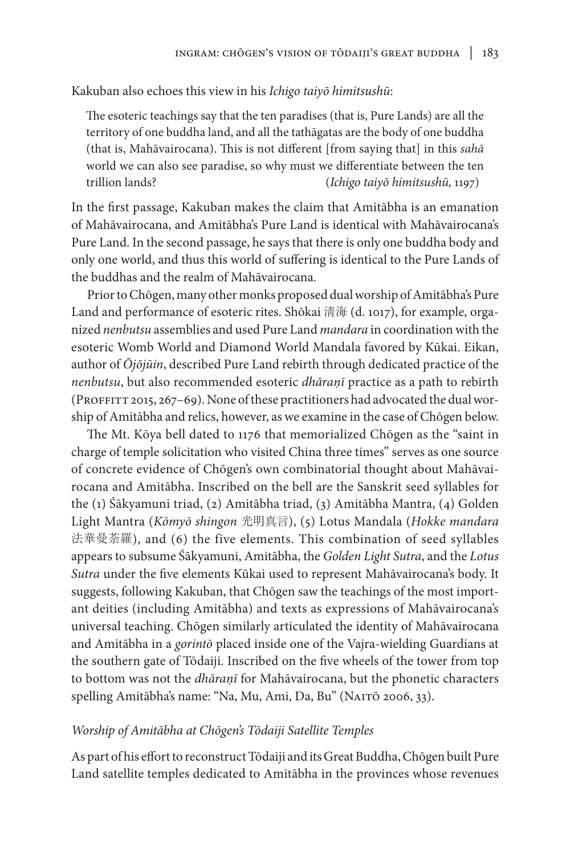Kakuban also echoes this view in his *Ichigo taiyō himitsushū*:

The esoteric teachings say that the ten paradises (that is, Pure Lands) are all the territory of one buddha land, and all the tathāgatas are the body of one buddha (that is, Mahāvairocana). This is not different [from saying that] in this *sahā* world we can also see paradise, so why must we differentiate between the ten trillion lands? (*Ichigo taiyō himitsushū,* 1197)

In the first passage, Kakuban makes the claim that Amitābha is an emanation of Mahāvairocana, and Amitābha's Pure Land is identical with Mahāvairocana's Pure Land. In the second passage, he says that there is only one buddha body and only one world, and thus this world of suffering is identical to the Pure Lands of the buddhas and the realm of Mahāvairocana.

Prior to Chōgen, many other monks proposed dual worship of Amitābha's Pure Land and performance of esoteric rites. Shōkai 淸海 (d. 1017), for example, organized *nenbutsu* assemblies and used Pure Land *mandara* in coordination with the esoteric Womb World and Diamond World Mandala favored by Kūkai. Eikan, author of *Ōjōjūin*, described Pure Land rebirth through dedicated practice of the *nenbutsu*, but also recommended esoteric *dhāraṇī* practice as a path to rebirth (PROFFITT 2015, 267–69). None of these practitioners had advocated the dual worship of Amitābha and relics, however, as we examine in the case of Chōgen below.

The Mt. Kōya bell dated to 1176 that memorialized Chōgen as the "saint in charge of temple solicitation who visited China three times" serves as one source of concrete evidence of Chōgen's own combinatorial thought about Mahāvairocana and Amitābha. Inscribed on the bell are the Sanskrit seed syllables for the (1) Śākyamuni triad, (2) Amitābha triad, (3) Amitābha Mantra, (4) Golden Light Mantra (*Kōmyō shingon* 光明真言), (5) Lotus Mandala (*Hokke mandara* 法華曼荼羅), and (6) the five elements. This combination of seed syllables appears to subsume Śākyamuni, Amitābha, the *Golden Light Sutra*, and the *Lotus Sutra* under the five elements Kūkai used to represent Mahāvairocana's body. It suggests, following Kakuban, that Chōgen saw the teachings of the most important deities (including Amitābha) and texts as expressions of Mahāvairocana's universal teaching. Chōgen similarly articulated the identity of Mahāvairocana and Amitābha in a *gorintō* placed inside one of the Vajra-wielding Guardians at the southern gate of Tōdaiji. Inscribed on the five wheels of the tower from top to bottom was not the *dhāraṇī* for Mahāvairocana, but the phonetic characters spelling Amitābha's name: "Na, Mu, Ami, Da, Bu" (NAITŌ 2006, 33).

### *Worship of Amitābha at Chōgen's Tōdaiji Satellite Temples*

As part of his effort to reconstruct Tōdaiji and its Great Buddha, Chōgen built Pure Land satellite temples dedicated to Amitābha in the provinces whose revenues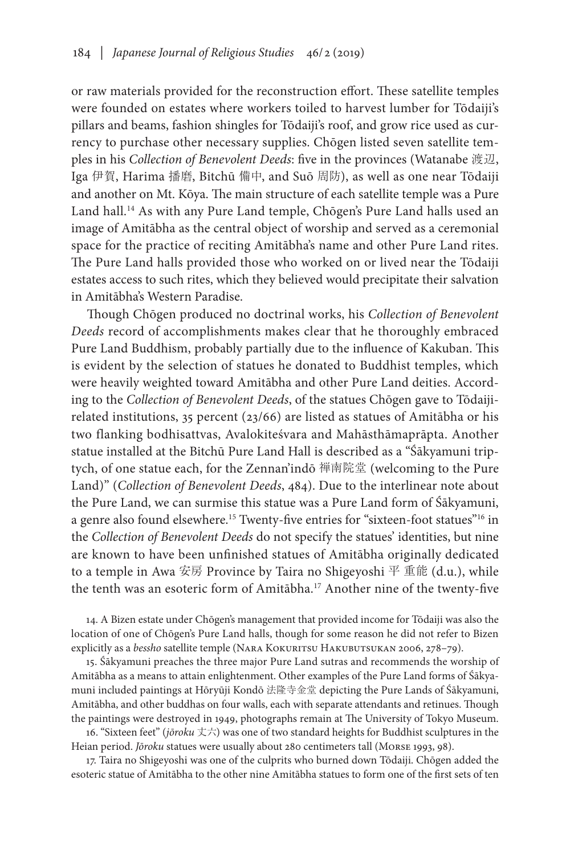or raw materials provided for the reconstruction effort. These satellite temples were founded on estates where workers toiled to harvest lumber for Tōdaiji's pillars and beams, fashion shingles for Tōdaiji's roof, and grow rice used as currency to purchase other necessary supplies. Chōgen listed seven satellite temples in his *Collection of Benevolent Deeds*: five in the provinces (Watanabe 渡辺, Iga 伊賀, Harima 播磨, Bitchū 備中, and Suō 周防), as well as one near Tōdaiji and another on Mt. Kōya. The main structure of each satellite temple was a Pure Land hall.<sup>14</sup> As with any Pure Land temple, Chōgen's Pure Land halls used an image of Amitābha as the central object of worship and served as a ceremonial space for the practice of reciting Amitābha's name and other Pure Land rites. The Pure Land halls provided those who worked on or lived near the Tōdaiji estates access to such rites, which they believed would precipitate their salvation in Amitābha's Western Paradise.

Though Chōgen produced no doctrinal works, his *Collection of Benevolent Deeds* record of accomplishments makes clear that he thoroughly embraced Pure Land Buddhism, probably partially due to the influence of Kakuban. This is evident by the selection of statues he donated to Buddhist temples, which were heavily weighted toward Amitābha and other Pure Land deities. According to the *Collection of Benevolent Deeds*, of the statues Chōgen gave to Tōdaijirelated institutions, 35 percent (23/66) are listed as statues of Amitābha or his two flanking bodhisattvas, Avalokiteśvara and Mahāsthāmaprāpta. Another statue installed at the Bitchū Pure Land Hall is described as a "Śākyamuni triptych, of one statue each, for the Zennan'indō 禅南院堂 (welcoming to the Pure Land)" (*Collection of Benevolent Deeds*, 484). Due to the interlinear note about the Pure Land, we can surmise this statue was a Pure Land form of Śākyamuni, a genre also found elsewhere.15 Twenty-five entries for "sixteen-foot statues"16 in the *Collection of Benevolent Deeds* do not specify the statues' identities, but nine are known to have been unfinished statues of Amitābha originally dedicated to a temple in Awa 安房 Province by Taira no Shigeyoshi 平 重能 (d.u.), while the tenth was an esoteric form of Amitābha.<sup>17</sup> Another nine of the twenty-five

14. A Bizen estate under Chōgen's management that provided income for Tōdaiji was also the location of one of Chōgen's Pure Land halls, though for some reason he did not refer to Bizen explicitly as a *bessho* satellite temple (NARA KOKURITSU HAKUBUTSUKAN 2006, 278–79).

15. Śākyamuni preaches the three major Pure Land sutras and recommends the worship of Amitābha as a means to attain enlightenment. Other examples of the Pure Land forms of Śākyamuni included paintings at Hōryūji Kondō 法隆寺金堂 depicting the Pure Lands of Śākyamuni, Amitābha, and other buddhas on four walls, each with separate attendants and retinues. Though the paintings were destroyed in 1949, photographs remain at The University of Tokyo Museum.

16. "Sixteen feet" (*jōroku* 丈六) was one of two standard heights for Buddhist sculptures in the Heian period. *Jōroku* statues were usually about 280 centimeters tall (Morse 1993, 98).

17. Taira no Shigeyoshi was one of the culprits who burned down Tōdaiji. Chōgen added the esoteric statue of Amitābha to the other nine Amitābha statues to form one of the first sets of ten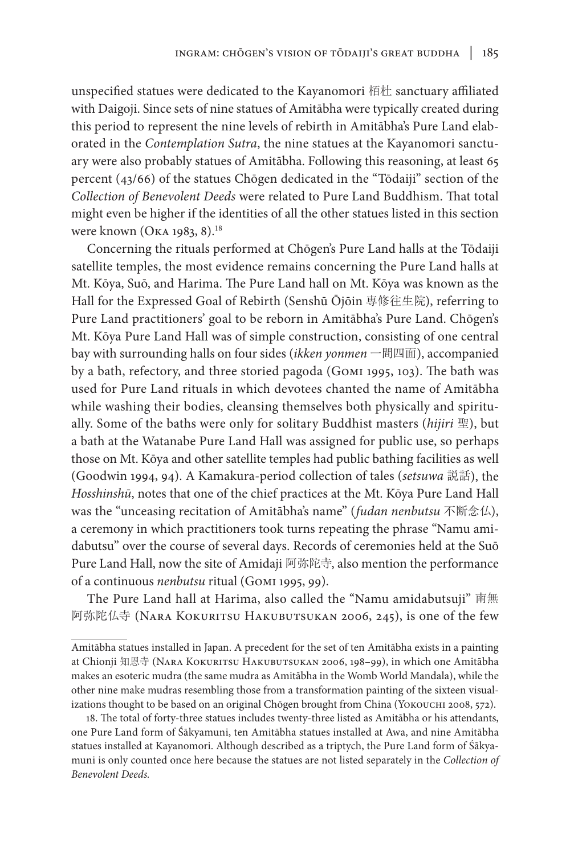unspecified statues were dedicated to the Kayanomori 栢杜 sanctuary affiliated with Daigoji. Since sets of nine statues of Amitābha were typically created during this period to represent the nine levels of rebirth in Amitābha's Pure Land elaborated in the *Contemplation Sutra*, the nine statues at the Kayanomori sanctuary were also probably statues of Amitābha. Following this reasoning, at least 65 percent (43/66) of the statues Chōgen dedicated in the "Tōdaiji" section of the *Collection of Benevolent Deeds* were related to Pure Land Buddhism. That total might even be higher if the identities of all the other statues listed in this section were known (Oka 1983, 8).18

Concerning the rituals performed at Chōgen's Pure Land halls at the Tōdaiji satellite temples, the most evidence remains concerning the Pure Land halls at Mt. Kōya, Suō, and Harima. The Pure Land hall on Mt. Kōya was known as the Hall for the Expressed Goal of Rebirth (Senshū Ōjōin 専修往生院), referring to Pure Land practitioners' goal to be reborn in Amitābha's Pure Land. Chōgen's Mt. Kōya Pure Land Hall was of simple construction, consisting of one central bay with surrounding halls on four sides (*ikken yonmen* 一間四面), accompanied by a bath, refectory, and three storied pagoda (Gomi 1995, 103). The bath was used for Pure Land rituals in which devotees chanted the name of Amitābha while washing their bodies, cleansing themselves both physically and spiritually. Some of the baths were only for solitary Buddhist masters (*hijiri* 聖), but a bath at the Watanabe Pure Land Hall was assigned for public use, so perhaps those on Mt. Kōya and other satellite temples had public bathing facilities as well (Goodwin 1994, 94). A Kamakura-period collection of tales (*setsuwa* 説話), the *Hosshinshū*, notes that one of the chief practices at the Mt. Kōya Pure Land Hall was the "unceasing recitation of Amitābha's name" (*fudan nenbutsu* 不断念仏), a ceremony in which practitioners took turns repeating the phrase "Namu amidabutsu" over the course of several days. Records of ceremonies held at the Suō Pure Land Hall, now the site of Amidaji 阿弥陀寺, also mention the performance of a continuous *nenbutsu* ritual (Gomi 1995, 99).

The Pure Land hall at Harima, also called the "Namu amidabutsuji" 南無 阿弥陀仏寺 (NARA KOKURITSU HAKUBUTSUKAN 2006, 245), is one of the few

Amitābha statues installed in Japan. A precedent for the set of ten Amitābha exists in a painting at Chionji 知恩寺 (Nara Kokuritsu Hakubutsukan 2006, 198–99), in which one Amitābha makes an esoteric mudra (the same mudra as Amitābha in the Womb World Mandala), while the other nine make mudras resembling those from a transformation painting of the sixteen visualizations thought to be based on an original Chōgen brought from China (Yokouchi 2008, 572).

<sup>18.</sup> The total of forty-three statues includes twenty-three listed as Amitābha or his attendants, one Pure Land form of Śākyamuni, ten Amitābha statues installed at Awa, and nine Amitābha statues installed at Kayanomori. Although described as a triptych, the Pure Land form of Śākyamuni is only counted once here because the statues are not listed separately in the *Collection of Benevolent Deeds.*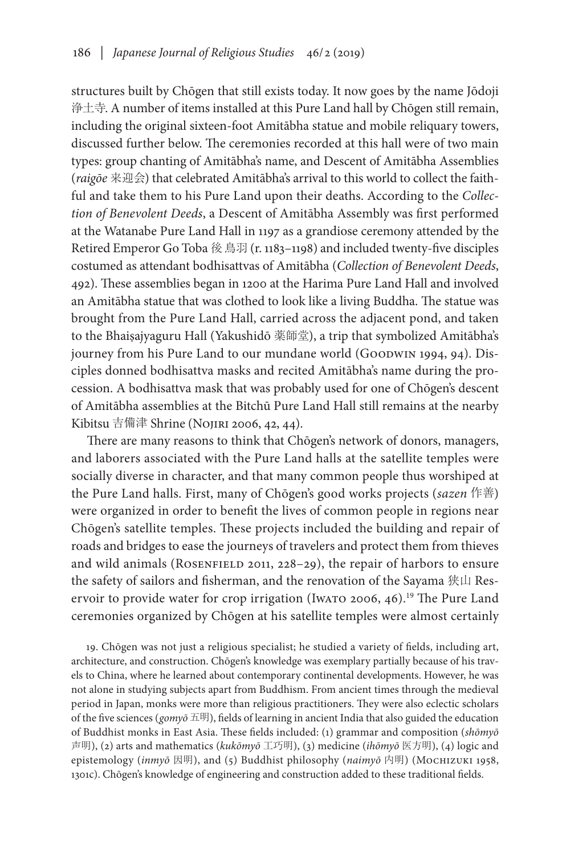structures built by Chōgen that still exists today. It now goes by the name Jōdoji 浄土寺. A number of items installed at this Pure Land hall by Chōgen still remain, including the original sixteen-foot Amitābha statue and mobile reliquary towers, discussed further below. The ceremonies recorded at this hall were of two main types: group chanting of Amitābha's name, and Descent of Amitābha Assemblies (*raigōe* 来迎会) that celebrated Amitābha's arrival to this world to collect the faithful and take them to his Pure Land upon their deaths. According to the *Collection of Benevolent Deeds*, a Descent of Amitābha Assembly was first performed at the Watanabe Pure Land Hall in 1197 as a grandiose ceremony attended by the Retired Emperor Go Toba 後鳥羽 (r. 1183–1198) and included twenty-five disciples costumed as attendant bodhisattvas of Amitābha (*Collection of Benevolent Deeds*, 492). These assemblies began in 1200 at the Harima Pure Land Hall and involved an Amitābha statue that was clothed to look like a living Buddha. The statue was brought from the Pure Land Hall, carried across the adjacent pond, and taken to the Bhaiṣajyaguru Hall (Yakushidō 薬師堂), a trip that symbolized Amitābha's journey from his Pure Land to our mundane world (GOODWIN 1994, 94). Disciples donned bodhisattva masks and recited Amitābha's name during the procession. A bodhisattva mask that was probably used for one of Chōgen's descent of Amitābha assemblies at the Bitchū Pure Land Hall still remains at the nearby Kibitsu 吉備津 Shrine (NOJIRI 2006, 42, 44).

There are many reasons to think that Chōgen's network of donors, managers, and laborers associated with the Pure Land halls at the satellite temples were socially diverse in character, and that many common people thus worshiped at the Pure Land halls. First, many of Chōgen's good works projects (*sazen* 作善) were organized in order to benefit the lives of common people in regions near Chōgen's satellite temples. These projects included the building and repair of roads and bridges to ease the journeys of travelers and protect them from thieves and wild animals (ROSENFIELD 2011, 228-29), the repair of harbors to ensure the safety of sailors and fisherman, and the renovation of the Sayama 狭山 Reservoir to provide water for crop irrigation (Iwaro 2006, 46).<sup>19</sup> The Pure Land ceremonies organized by Chōgen at his satellite temples were almost certainly

19. Chōgen was not just a religious specialist; he studied a variety of fields, including art, architecture, and construction. Chōgen's knowledge was exemplary partially because of his travels to China, where he learned about contemporary continental developments. However, he was not alone in studying subjects apart from Buddhism. From ancient times through the medieval period in Japan, monks were more than religious practitioners. They were also eclectic scholars of the five sciences (*gomyō* 五明), fields of learning in ancient India that also guided the education of Buddhist monks in East Asia. These fields included: (1) grammar and composition (*shōmyō* 声明), (2) arts and mathematics (*kukōmyō* 工巧明), (3) medicine (*ihōmyō* 医方明), (4) logic and epistemology (*inmyō* 因明), and (5) Buddhist philosophy (*naimyō* 内明) (Mochizuki 1958, 1301c). Chōgen's knowledge of engineering and construction added to these traditional fields.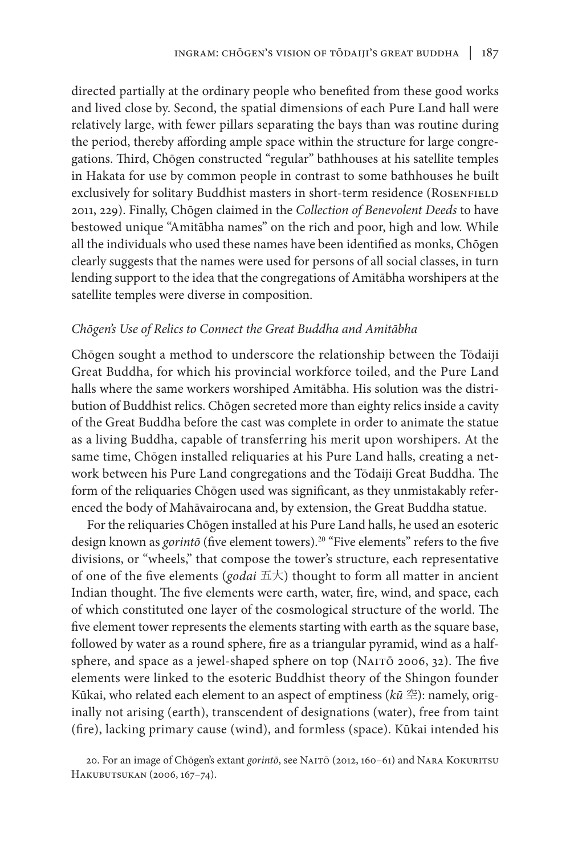directed partially at the ordinary people who benefited from these good works and lived close by. Second, the spatial dimensions of each Pure Land hall were relatively large, with fewer pillars separating the bays than was routine during the period, thereby affording ample space within the structure for large congregations. Third, Chōgen constructed "regular" bathhouses at his satellite temples in Hakata for use by common people in contrast to some bathhouses he built exclusively for solitary Buddhist masters in short-term residence (ROSENFIELD 2011, 229). Finally, Chōgen claimed in the *Collection of Benevolent Deeds* to have bestowed unique "Amitābha names" on the rich and poor, high and low. While all the individuals who used these names have been identified as monks, Chōgen clearly suggests that the names were used for persons of all social classes, in turn lending support to the idea that the congregations of Amitābha worshipers at the satellite temples were diverse in composition.

# *Chōgen's Use of Relics to Connect the Great Buddha and Amitābha*

Chōgen sought a method to underscore the relationship between the Tōdaiji Great Buddha, for which his provincial workforce toiled, and the Pure Land halls where the same workers worshiped Amitābha. His solution was the distribution of Buddhist relics. Chōgen secreted more than eighty relics inside a cavity of the Great Buddha before the cast was complete in order to animate the statue as a living Buddha, capable of transferring his merit upon worshipers. At the same time, Chōgen installed reliquaries at his Pure Land halls, creating a network between his Pure Land congregations and the Tōdaiji Great Buddha. The form of the reliquaries Chōgen used was significant, as they unmistakably referenced the body of Mahāvairocana and, by extension, the Great Buddha statue.

For the reliquaries Chōgen installed at his Pure Land halls, he used an esoteric design known as *gorintō* (five element towers).20 "Five elements" refers to the five divisions, or "wheels," that compose the tower's structure, each representative of one of the five elements (*godai* 五大) thought to form all matter in ancient Indian thought. The five elements were earth, water, fire, wind, and space, each of which constituted one layer of the cosmological structure of the world. The five element tower represents the elements starting with earth as the square base, followed by water as a round sphere, fire as a triangular pyramid, wind as a halfsphere, and space as a jewel-shaped sphere on top (NAITO 2006, 32). The five elements were linked to the esoteric Buddhist theory of the Shingon founder Kūkai, who related each element to an aspect of emptiness (*kū* 空): namely, originally not arising (earth), transcendent of designations (water), free from taint (fire), lacking primary cause (wind), and formless (space). Kūkai intended his

<sup>20.</sup> For an image of Chōgen's extant *gorintō*, see NAITŌ (2012, 160-61) and NARA KOKURITSU Hakubutsukan (2006, 167–74).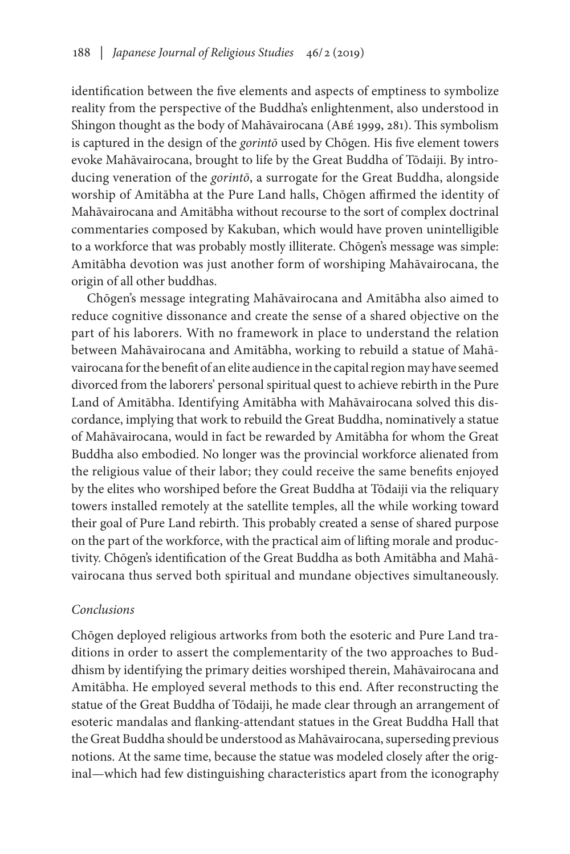identification between the five elements and aspects of emptiness to symbolize reality from the perspective of the Buddha's enlightenment, also understood in Shingon thought as the body of Mahāvairocana (Abé 1999, 281). This symbolism is captured in the design of the *gorintō* used by Chōgen. His five element towers evoke Mahāvairocana, brought to life by the Great Buddha of Tōdaiji. By introducing veneration of the *gorintō*, a surrogate for the Great Buddha, alongside worship of Amitābha at the Pure Land halls, Chōgen affirmed the identity of Mahāvairocana and Amitābha without recourse to the sort of complex doctrinal commentaries composed by Kakuban, which would have proven unintelligible to a workforce that was probably mostly illiterate. Chōgen's message was simple: Amitābha devotion was just another form of worshiping Mahāvairocana, the origin of all other buddhas.

Chōgen's message integrating Mahāvairocana and Amitābha also aimed to reduce cognitive dissonance and create the sense of a shared objective on the part of his laborers. With no framework in place to understand the relation between Mahāvairocana and Amitābha, working to rebuild a statue of Mahāvairocana for the benefit of an elite audience in the capital region may have seemed divorced from the laborers' personal spiritual quest to achieve rebirth in the Pure Land of Amitābha. Identifying Amitābha with Mahāvairocana solved this discordance, implying that work to rebuild the Great Buddha, nominatively a statue of Mahāvairocana, would in fact be rewarded by Amitābha for whom the Great Buddha also embodied. No longer was the provincial workforce alienated from the religious value of their labor; they could receive the same benefits enjoyed by the elites who worshiped before the Great Buddha at Tōdaiji via the reliquary towers installed remotely at the satellite temples, all the while working toward their goal of Pure Land rebirth. This probably created a sense of shared purpose on the part of the workforce, with the practical aim of lifting morale and productivity. Chōgen's identification of the Great Buddha as both Amitābha and Mahāvairocana thus served both spiritual and mundane objectives simultaneously.

# *Conclusions*

Chōgen deployed religious artworks from both the esoteric and Pure Land traditions in order to assert the complementarity of the two approaches to Buddhism by identifying the primary deities worshiped therein, Mahāvairocana and Amitābha. He employed several methods to this end. After reconstructing the statue of the Great Buddha of Tōdaiji, he made clear through an arrangement of esoteric mandalas and flanking-attendant statues in the Great Buddha Hall that the Great Buddha should be understood as Mahāvairocana, superseding previous notions. At the same time, because the statue was modeled closely after the original—which had few distinguishing characteristics apart from the iconography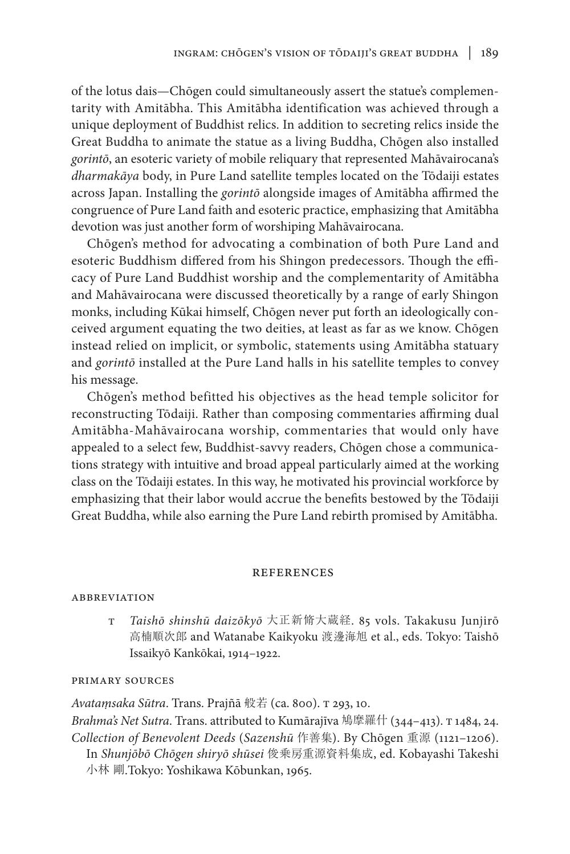of the lotus dais—Chōgen could simultaneously assert the statue's complementarity with Amitābha. This Amitābha identification was achieved through a unique deployment of Buddhist relics. In addition to secreting relics inside the Great Buddha to animate the statue as a living Buddha, Chōgen also installed *gorintō*, an esoteric variety of mobile reliquary that represented Mahāvairocana's *dharmakāya* body, in Pure Land satellite temples located on the Tōdaiji estates across Japan. Installing the *gorintō* alongside images of Amitābha affirmed the congruence of Pure Land faith and esoteric practice, emphasizing that Amitābha devotion was just another form of worshiping Mahāvairocana.

Chōgen's method for advocating a combination of both Pure Land and esoteric Buddhism differed from his Shingon predecessors. Though the efficacy of Pure Land Buddhist worship and the complementarity of Amitābha and Mahāvairocana were discussed theoretically by a range of early Shingon monks, including Kūkai himself, Chōgen never put forth an ideologically conceived argument equating the two deities, at least as far as we know. Chōgen instead relied on implicit, or symbolic, statements using Amitābha statuary and *gorintō* installed at the Pure Land halls in his satellite temples to convey his message.

Chōgen's method befitted his objectives as the head temple solicitor for reconstructing Tōdaiji. Rather than composing commentaries affirming dual Amitābha-Mahāvairocana worship, commentaries that would only have appealed to a select few, Buddhist-savvy readers, Chōgen chose a communications strategy with intuitive and broad appeal particularly aimed at the working class on the Tōdaiji estates. In this way, he motivated his provincial workforce by emphasizing that their labor would accrue the benefits bestowed by the Tōdaiji Great Buddha, while also earning the Pure Land rebirth promised by Amitābha.

#### **REFERENCES**

#### **ABBREVIATION**

t *Taishō shinshū daizōkyō* 大正新脩大蔵経. 85 vols. Takakusu Junjirō 高楠順次郎 and Watanabe Kaikyoku 渡邊海旭 et al., eds. Tokyo: Taishō Issaikyō Kankōkai, 1914–1922.

#### primary sources

*Avataṃsaka Sūtra*. Trans. Prajñā 般若 (ca. 800). t 293, 10.

*Brahma's Net Sutra*. Trans. attributed to Kumārajīva 鳩摩羅什 (344–413). t 1484, 24. *Collection of Benevolent Deeds* (*Sazenshū* 作善集). By Chōgen 重源 (1121–1206). In *Shunjōbō Chōgen shiryō shūsei* 俊乗房重源資料集成, ed. Kobayashi Takeshi 小林 剛.Tokyo: Yoshikawa Kōbunkan, 1965.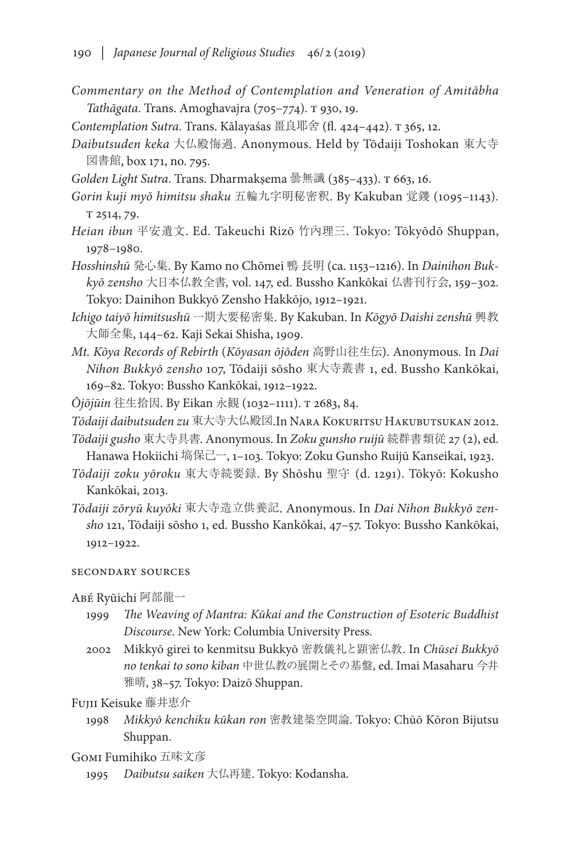- *Commentary on the Method of Contemplation and Veneration of Amitābha Tathāgata*. Trans. Amoghavajra (705–774). t 930, 19.
- *Contemplation Sutra*. Trans. Kālayaśas 畺良耶舍 (fl. 424–442). t 365, 12.
- *Daibutsuden keka* 大仏殿悔過*.* Anonymous. Held by Tōdaiji Toshokan 東大寺 図書館, box 171, no. 795.
- *Golden Light Sutra*. Trans. Dharmakṣema 曇無讖 (385–433). t 663, 16.
- *Gorin kuji myō himitsu shaku* 五輪九字明秘密釈. By Kakuban 覚鑁 (1095–1143)*.* t 2514, 79.
- *Heian ibun* 平安遺文. Ed. Takeuchi Rizō 竹內理三. Tokyo: Tōkyōdō Shuppan, 1978–1980.
- *Hosshinshū* 発心集. By Kamo no Chōmei 鴨 長明 (ca. 1153–1216). In *Dainihon Bukkyō zensho* 大日本仏教全書*,* vol. 147, ed. Bussho Kankōkai 仏書刊行会, 159–302. Tokyo: Dainihon Bukkyō Zensho Hakkōjo, 1912–1921.
- *Ichigo taiyō himitsushū* 一期大要秘密集. By Kakuban. In *Kōgyō Daishi zenshū* 興教 大師全集, 144–62. Kaji Sekai Shisha, 1909.
- *Mt. Kōya Records of Rebirth* (*Kōyasan ōjōden* 高野山往生伝). Anonymous. In *Dai Nihon Bukkyō zensho* 107, Tōdaiji sōsho 東大寺叢書 1, ed. Bussho Kankōkai, 169–82. Tokyo: Bussho Kankōkai, 1912–1922.
- *Ōjōjūin* 往生拾因. By Eikan 永観 (1032–1111). t 2683, 84.
- *Tōdaiji daibutsuden zu* 東大寺大仏殿図.In Nara Kokuritsu Hakubutsukan 2012.
- *Tōdaiji gusho* 東大寺具書. Anonymous. In *Zoku gunsho ruijū* 続群書類従 27 (2), ed. Hanawa Hokiichi 塙保己一, 1-103. Tokyo: Zoku Gunsho Ruijū Kanseikai, 1923.
- *Tōdaiji zoku yōroku* 東大寺続要録. By Shōshu 聖守 (d. 1291). Tōkyō: Kokusho Kankōkai, 2013.
- *Tōdaiji zōryū kuyōki* 東大寺造立供養記. Anonymous. In *Dai Nihon Bukkyō zensho* 121, Tōdaiji sōsho 1, ed. Bussho Kankōkai, 47–57. Tokyo: Bussho Kankōkai, 1912–1922.

## secondary sources

Abé Ryūichi 阿部龍一

- 1999 *The Weaving of Mantra: Kūkai and the Construction of Esoteric Buddhist Discourse*. New York: Columbia University Press.
- 2002 Mikkyō girei to kenmitsu Bukkyō 密教儀礼と顕密仏教. In *Chūsei Bukkyō no tenkai to sono kiban* 中世仏教の展開とその基盤, ed. Imai Masaharu 今井 雅晴, 38–57. Tokyo: Daizō Shuppan.

Fujii Keisuke 藤井恵介

1998 *Mikkyō kenchiku kūkan ron* 密教建築空間論. Tokyo: Chūō Kōron Bijutsu Shuppan.

Gomi Fumihiko 五味文彦

1995 *Daibutsu saiken* 大仏再建. Tokyo: Kodansha.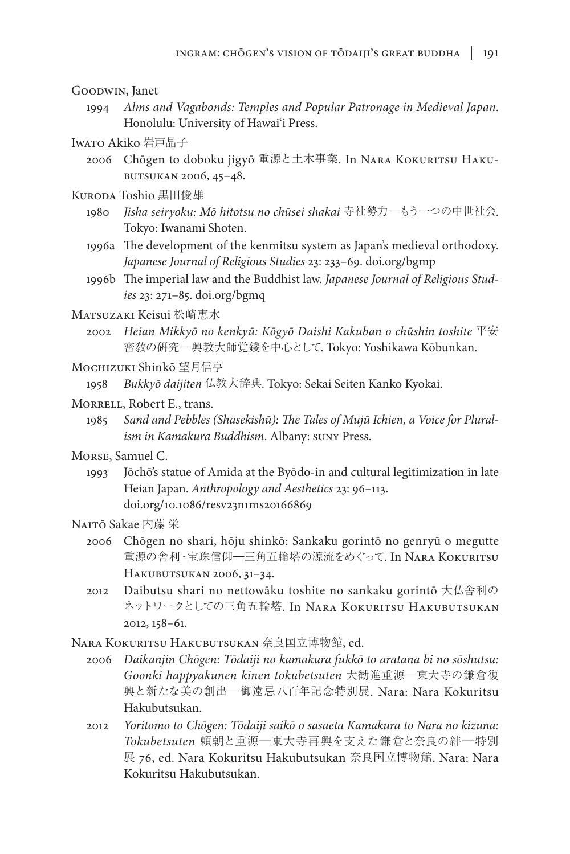## Goodwin, Janet

1994 *Alms and Vagabonds: Temples and Popular Patronage in Medieval Japan*. Honolulu: University of Hawai'i Press.

### Iwato Akiko 岩戸晶子

- 2006 Chōgen to doboku jigyō 重源と土木事業. In Nara Kokuritsu Hakubutsukan 2006, 45–48.
- KURODA Toshio 黒田俊雄
	- 1980 *Jisha seiryoku: Mō hitotsu no chūsei shakai* 寺社勢力―もう一つの中世社会. Tokyo: Iwanami Shoten.
	- 1996a The development of the kenmitsu system as Japan's medieval orthodoxy. *Japanese Journal of Religious Studies* 23: 233–69. doi.org/bgmp
	- 1996b The imperial law and the Buddhist law. *Japanese Journal of Religious Studies* 23: 271–85. doi.org/bgmq

# Matsuzaki Keisui 松崎恵水

2002 *Heian Mikkyō no kenkyū: Kōgyō Daishi Kakuban o chūshin toshite* 平安 密敎の硏究―興教大師覚鑁を中心として. Tokyo: Yoshikawa Kōbunkan.

### Mochizuki Shinkō 望月信亨

1958 *Bukkyō daijiten* 仏教大辞典. Tokyo: Sekai Seiten Kanko Kyokai.

### MORRELL, Robert E., trans.

1985 *Sand and Pebbles (Shasekishū): The Tales of Mujū Ichien, a Voice for Pluralism in Kamakura Buddhism*. Albany: suny Press.

## Morse, Samuel C.

1993 Jōchō's statue of Amida at the Byōdo-in and cultural legitimization in late Heian Japan. *Anthropology and Aesthetics* 23: 96–113. doi.org/10.1086/resv23n1ms20166869

# Naitō Sakae 内藤 栄

- 2006 Chōgen no shari, hōju shinkō: Sankaku gorintō no genryū o megutte 重源の舎利・宝珠信仰―三角五輪塔の源流をめぐって. In Nara Kokuritsu Hakubutsukan 2006, 31–34.
- 2012 Daibutsu shari no nettowāku toshite no sankaku gorintō 大仏舎利の ネットワークとしての三角五輪塔. In NARA KOKURITSU HAKUBUTSUKAN 2012, 158–61.

Nara Kokuritsu Hakubutsukan 奈良国立博物館, ed.

- 2006 *Daikanjin Chōgen: Tōdaiji no kamakura fukkō to aratana bi no sōshutsu: Goonki happyakunen kinen tokubetsuten* 大勧進重源―東大寺の鎌倉復 興と新たな美の創出―御遠忌八百年記念特別展. Nara: Nara Kokuritsu Hakubutsukan.
- 2012 *Yoritomo to Chōgen: Tōdaiji saikō o sasaeta Kamakura to Nara no kizuna: Tokubetsuten* 頼朝と重源―東大寺再興を支えた鎌倉と奈良の絆―特別 展 76, ed. Nara Kokuritsu Hakubutsukan 奈良国立博物館. Nara: Nara Kokuritsu Hakubutsukan.